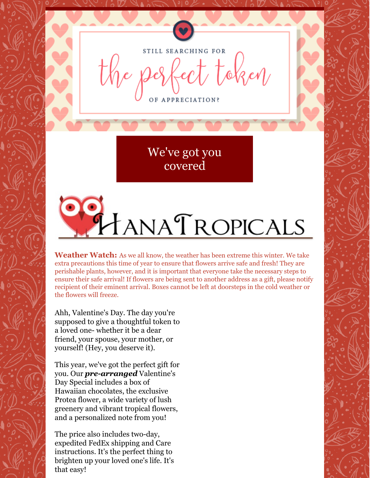

STILL SEARCHING FOR  $t$  token

OF APPRECIATION?

We've got you [covered](http://hanatropicals.com/valentines-day-special/)

TANATROPICALS

**Weather Watch:** As we all know, the weather has been extreme this winter. We take extra precautions this time of year to ensure that flowers arrive safe and fresh! They are perishable plants, however, and it is important that everyone take the necessary steps to ensure their safe arrival! If flowers are being sent to another address as a gift, please notify recipient of their eminent arrival. Boxes cannot be left at doorsteps in the cold weather or the flowers will freeze.

Ahh, Valentine's Day. The day you're supposed to give a thoughtful token to a loved one- whether it be a dear friend, your spouse, your mother, or yourself! (Hey, you deserve it).

This year, we've got the perfect gift for you. Our *pre-arranged* Valentine's Day Special includes a box of Hawaiian chocolates, the exclusive Protea flower, a wide variety of lush greenery and vibrant tropical flowers, and a personalized note from you!

The price also includes two-day, expedited FedEx shipping and Care instructions. It's the perfect thing to brighten up your loved one's life. It's that easy!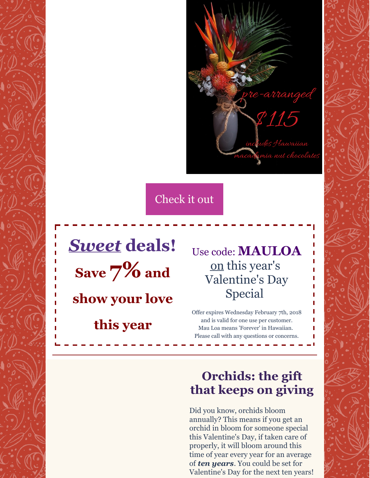

[Check](http://hanatropicals.com/valentines-day-special/) it out

*Sweet* **deals! Save 7% and show your love**

**this year**

Use code: **MAULOA** [on](http://www.hanatropicals.com/) this year's Valentine's Day Special

Offer expires Wednesday February 7th, 2018 and is valid for one use per customer. Mau Loa means 'Forever' in Hawaiian. Please call with any questions or concerns.

# **Orchids: the gift that keeps on giving**

Did you know, orchids bloom annually? This means if you get an orchid in bloom for someone special this Valentine's Day, if taken care of properly, it will bloom around this time of year every year for an average of *ten years*. You could be set for Valentine's Day for the next ten years!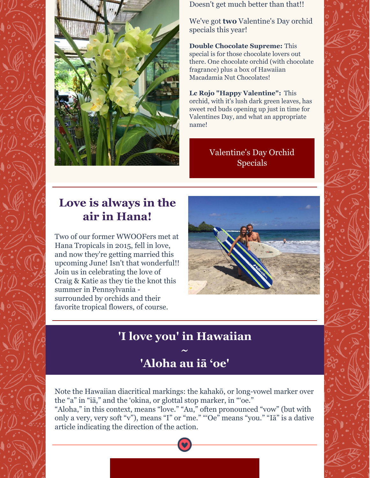

Doesn't get much better than that!!

We've got **two** Valentine's Day orchid specials this year!

**Double Chocolate Supreme:** This special is for those chocolate lovers out there. One chocolate orchid (with chocolate fragrance) plus a box of Hawaiian Macadamia Nut Chocolates!

**Lc Rojo "Happy Valentine":** This orchid, with it's lush dark green leaves, has sweet red buds opening up just in time for Valentines Day, and what an appropriate name!

#### [Valentine's](http://hanatropicals.com/orchid-in-bloom/) Day Orchid Specials

## **Love is always in the air in Hana!**

Two of our former WWOOFers met at Hana Tropicals in 2015, fell in love, and now they're getting married this upcoming June! Isn't that wonderful!! Join us in celebrating the love of Craig & Katie as they tie the knot this summer in Pennsylvania surrounded by orchids and their favorite tropical flowers, of course.



## **'I love you' in Hawaiian**

### **~ 'Aloha au iā 'oe'**

Note the Hawaiian diacritical markings: the kahakō, or long-vowel marker over the "a" in "iā," and the 'okina, or glottal stop marker, in "'oe."

"Aloha," in this context, means "love." "Au," often pronounced "vow" (but with only a very, very soft "v"), means "I" or "me." "'Oe" means "you." "Iā" is a dative article indicating the direction of the action.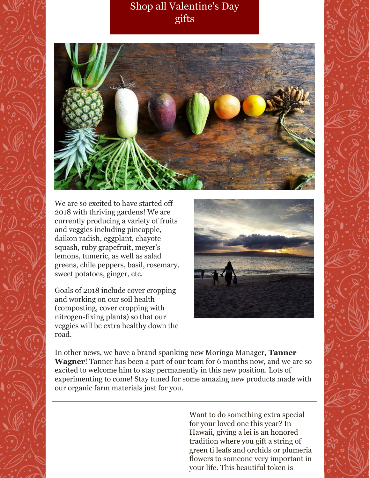### Shop all [Valentine's](http://hanatropicals.com/categories/Maui-Made-Gifts/) Day gifts



We are so excited to have started off 2018 with thriving gardens! We are currently producing a variety of fruits and veggies including pineapple, daikon radish, eggplant, chayote squash, ruby grapefruit, meyer's lemons, tumeric, as well as salad greens, chile peppers, basil, rosemary, sweet potatoes, ginger, etc.

Goals of 2018 include cover cropping and working on our soil health (composting, cover cropping with nitrogen-fixing plants) so that our veggies will be extra healthy down the road.



In other news, we have a brand spanking new Moringa Manager, **Tanner Wagner**! Tanner has been a part of our team for 6 months now, and we are so excited to welcome him to stay permanently in this new position. Lots of experimenting to come! Stay tuned for some amazing new products made with our organic farm materials just for you.

> Want to do something extra special for your loved one this year? In Hawaii, giving a lei is an honored tradition where you gift a string of green ti leafs and orchids or plumeria flowers to someone very important in your life. This beautiful token is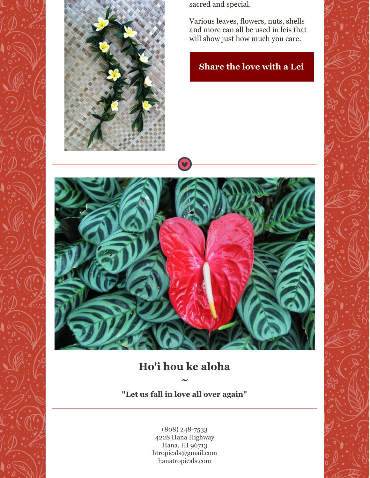

sacred and special.

Various leaves, flowers, nuts, shells and more can all be used in leis that will show just how much you care.

#### **[Share](http://hanatropicals.com/hawaiianmailestyletileaf/) the love with a Lei**



 $\bullet$ 

## **Ho'i hou ke aloha**

**~**

**"Let us fall in love all over again"**

(808) 248-7533 4228 Hana Highway Hana, HI 96713 [htropicals@gmail.com](mailto:htropicals@gmail.com) [hanatropicals.com](http://www.hanatropicals.com/)